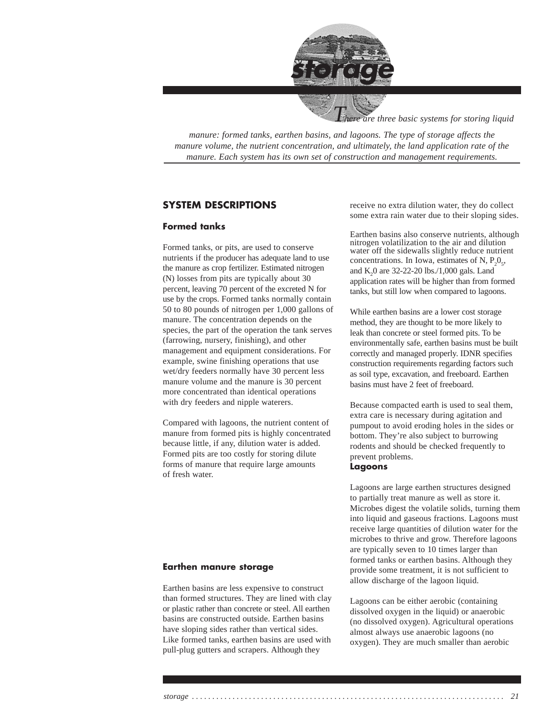

*are three basic systems for storing liquid* 

*manure: formed tanks, earthen basins, and lagoons. The type of storage affects the manure volume, the nutrient concentration, and ultimately, the land application rate of the manure. Each system has its own set of construction and management requirements.*

#### **SYSTEM DESCRIPTIONS**

#### **Formed tanks**

Formed tanks, or pits, are used to conserve nutrients if the producer has adequate land to use the manure as crop fertilizer. Estimated nitrogen (N) losses from pits are typically about 30 percent, leaving 70 percent of the excreted N for use by the crops. Formed tanks normally contain 50 to 80 pounds of nitrogen per 1,000 gallons of manure. The concentration depends on the species, the part of the operation the tank serves (farrowing, nursery, finishing), and other management and equipment considerations. For example, swine finishing operations that use wet/dry feeders normally have 30 percent less manure volume and the manure is 30 percent more concentrated than identical operations with dry feeders and nipple waterers.

Compared with lagoons, the nutrient content of manure from formed pits is highly concentrated because little, if any, dilution water is added. Formed pits are too costly for storing dilute forms of manure that require large amounts of fresh water.

#### **Earthen manure storage**

Earthen basins are less expensive to construct than formed structures. They are lined with clay or plastic rather than concrete or steel. All earthen basins are constructed outside. Earthen basins have sloping sides rather than vertical sides. Like formed tanks, earthen basins are used with pull-plug gutters and scrapers. Although they

receive no extra dilution water, they do collect some extra rain water due to their sloping sides.

Earthen basins also conserve nutrients, although nitrogen volatilization to the air and dilution water off the sidewalls slightly reduce nutrient concentrations. In Iowa, estimates of N,  $P_2O_5$ , and  $K_2$ 0 are 32-22-20 lbs./1,000 gals. Land application rates will be higher than from formed tanks, but still low when compared to lagoons.

While earthen basins are a lower cost storage method, they are thought to be more likely to leak than concrete or steel formed pits. To be environmentally safe, earthen basins must be built correctly and managed properly. IDNR specifies construction requirements regarding factors such as soil type, excavation, and freeboard. Earthen basins must have 2 feet of freeboard.

Because compacted earth is used to seal them, extra care is necessary during agitation and pumpout to avoid eroding holes in the sides or bottom. They're also subject to burrowing rodents and should be checked frequently to prevent problems.

#### **Lagoons**

Lagoons are large earthen structures designed to partially treat manure as well as store it. Microbes digest the volatile solids, turning them into liquid and gaseous fractions. Lagoons must receive large quantities of dilution water for the microbes to thrive and grow. Therefore lagoons are typically seven to 10 times larger than formed tanks or earthen basins. Although they provide some treatment, it is not sufficient to allow discharge of the lagoon liquid.

Lagoons can be either aerobic (containing dissolved oxygen in the liquid) or anaerobic (no dissolved oxygen). Agricultural operations almost always use anaerobic lagoons (no oxygen). They are much smaller than aerobic

*storage . . . . . . . . . . . . . . . . . . . . . . . . . . . . . . . . . . . . . . . . . . . . . . . . . . . . . . . . . . . . . . . . . . . . . . . . . . . . . 21*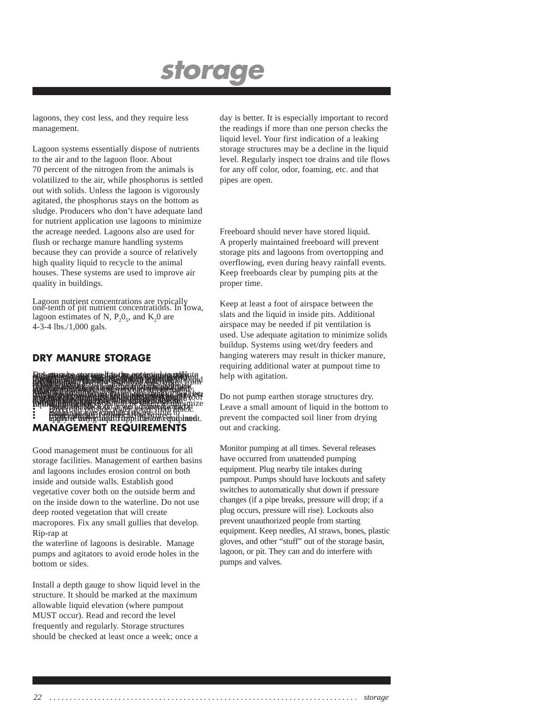lagoons, they cost less, and they require less management.

Lagoon systems essentially dispose of nutrients to the air and to the lagoon floor. About 70 percent of the nitrogen from the animals is volatilized to the air, while phosphorus is settled out with solids. Unless the lagoon is vigorously agitated, the phosphorus stays on the bottom as sludge. Producers who don't have adequate land for nutrient application use lagoons to minimize the acreage needed. Lagoons also are used for flush or recharge manure handling systems because they can provide a source of relatively high quality liquid to recycle to the animal houses. These systems are used to improve air quality in buildings.

Lagoon nutrient concentrations are typically one-tenth of pit nutrient concentrations. In Iowa, lagoon estimates of N,  $P_2O_5$ , and  $K_2O$  are 4-3-4 lbs./1,000 gals.

#### **DRY MANURE STORAGE**

Dry manure storage has the potential to pollute and must be managed in an environmentally friendly manner just like liquid manure. Dry manure systems are used for swine, bovine and poultry facilities. There are two water quality threats from dry manure systems: liquid leachate seeping into the soil or running off, and infiltration or runoff resulting from precipitation. The law prohibits discharges from dry manure confinement facilities just as is does from liquid sources. Control natural seepage through management. If the manure is so wet that it seeps naturally, use more bedding to dry it out. In high-rise layer houses increasing ventilation rates, and closely monitoring waterers can affect the manure moisture content. Most liquid movement from dry manure will be from precipitation on the manure stack. The best way to prevent losses from precipitation is to isolate the manure from the precipitation. If possible dry manure should be stored under roof and manure from dry systems such as poultry buildings should be land applied as the buildings are cleaned, rather than stacked outside. If manure must be stacked outside during hauling, or if it is collected outside through the year, the following measures should be taken to minimize liquid movement; • Build the stack on a well drained area on impermeable soil, or on a concrete pad. • Divert all outside water away from stack. • Build stack as compact as possible to minimize any rainfall effects. • Cover stack (if practical) to protect from rainfall. • Capture any runoff from the area and land apply it using liquid application equipment. **MANAGEMENT REQUIREMENTS**

Good management must be continuous for all storage facilities. Management of earthen basins and lagoons includes erosion control on both inside and outside walls. Establish good vegetative cover both on the outside berm and on the inside down to the waterline. Do not use deep rooted vegetation that will create macropores. Fix any small gullies that develop. Rip-rap at

the waterline of lagoons is desirable. Manage pumps and agitators to avoid erode holes in the bottom or sides.

Install a depth gauge to show liquid level in the structure. It should be marked at the maximum allowable liquid elevation (where pumpout MUST occur). Read and record the level frequently and regularly. Storage structures should be checked at least once a week; once a

day is better. It is especially important to record the readings if more than one person checks the liquid level. Your first indication of a leaking storage structures may be a decline in the liquid level. Regularly inspect toe drains and tile flows for any off color, odor, foaming, etc. and that pipes are open.

Freeboard should never have stored liquid. A properly maintained freeboard will prevent storage pits and lagoons from overtopping and overflowing, even during heavy rainfall events. Keep freeboards clear by pumping pits at the proper time.

Keep at least a foot of airspace between the slats and the liquid in inside pits. Additional airspace may be needed if pit ventilation is used. Use adequate agitation to minimize solids buildup. Systems using wet/dry feeders and hanging waterers may result in thicker manure, requiring additional water at pumpout time to help with agitation.

Do not pump earthen storage structures dry. Leave a small amount of liquid in the bottom to prevent the compacted soil liner from drying out and cracking.

Monitor pumping at all times. Several releases have occurred from unattended pumping equipment. Plug nearby tile intakes during pumpout. Pumps should have lockouts and safety switches to automatically shut down if pressure changes (if a pipe breaks, pressure will drop; if a plug occurs, pressure will rise). Lockouts also prevent unauthorized people from starting equipment. Keep needles, AI straws, bones, plastic gloves, and other "stuff" out of the storage basin, lagoon, or pit. They can and do interfere with pumps and valves.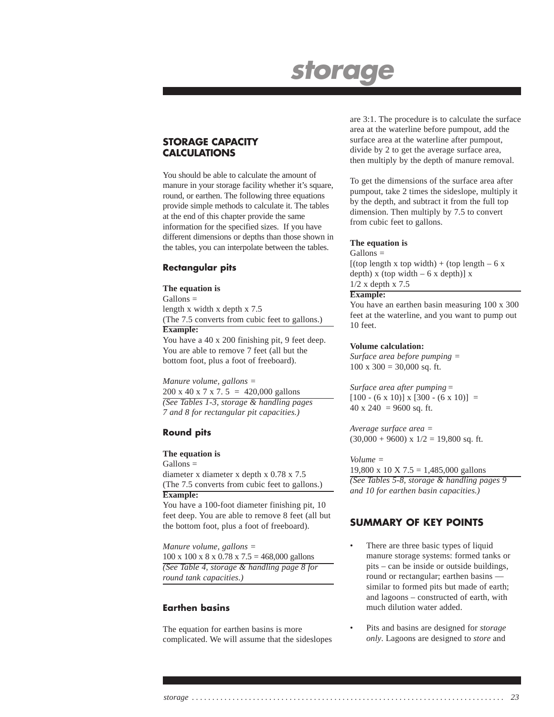#### **STORAGE CAPACITY CALCULATIONS**

You should be able to calculate the amount of manure in your storage facility whether it's square, round, or earthen. The following three equations provide simple methods to calculate it. The tables at the end of this chapter provide the same information for the specified sizes. If you have different dimensions or depths than those shown in the tables, you can interpolate between the tables.

#### **Rectangular pits**

#### **The equation is**

Gallons = length x width x depth x 7.5 (The 7.5 converts from cubic feet to gallons.) **Example:**

You have a 40 x 200 finishing pit, 9 feet deep. You are able to remove 7 feet (all but the bottom foot, plus a foot of freeboard).

*Manure volume, gallons =* 200 x 40 x 7 x 7. 5 = 420,000 gallons *(See Tables 1-3, storage & handling pages 7 and 8 for rectangular pit capacities.)*

#### **Round pits**

#### **The equation is**

Gallons = diameter x diameter x depth x 0.78 x 7.5 (The 7.5 converts from cubic feet to gallons.) **Example:**

You have a 100-foot diameter finishing pit, 10 feet deep. You are able to remove 8 feet (all but the bottom foot, plus a foot of freeboard).

*Manure volume, gallons =* 100 x 100 x 8 x 0.78 x 7.5 = 468,000 gallons *(See Table 4, storage & handling page 8 for round tank capacities.)*

#### **Earthen basins**

The equation for earthen basins is more complicated. We will assume that the sideslopes are 3:1. The procedure is to calculate the surface area at the waterline before pumpout, add the surface area at the waterline after pumpout, divide by 2 to get the average surface area, then multiply by the depth of manure removal.

To get the dimensions of the surface area after pumpout, take 2 times the sideslope, multiply it by the depth, and subtract it from the full top dimension. Then multiply by 7.5 to convert from cubic feet to gallons.

#### **The equation is**

Gallons =

 $[(top length x top width) + (top length - 6 x)]$ depth)  $x$  (top width  $-6x$  depth)]  $x$ 1/2 x depth x 7.5

#### **Example:**

You have an earthen basin measuring 100 x 300 feet at the waterline, and you want to pump out 10 feet.

#### **Volume calculation:**

*Surface area before pumping =*  $100 \times 300 = 30,000$  sq. ft.

*Surface area after pumping =*  $[100 - (6 \times 10)] \times [300 - (6 \times 10)] =$ 40 x 240 = 9600 sq. ft.

*Average surface area =*  $(30,000 + 9600)$  x  $1/2 = 19,800$  sq. ft.

#### *Volume =*

19,800 x 10 X 7.5 = 1,485,000 gallons *(See Tables 5-8, storage & handling pages 9 and 10 for earthen basin capacities.)*

#### **SUMMARY OF KEY POINTS**

- There are three basic types of liquid manure storage systems: formed tanks or pits – can be inside or outside buildings, round or rectangular; earthen basins similar to formed pits but made of earth; and lagoons – constructed of earth, with much dilution water added.
- Pits and basins are designed for *storage only*. Lagoons are designed to *store* and

*storage . . . . . . . . . . . . . . . . . . . . . . . . . . . . . . . . . . . . . . . . . . . . . . . . . . . . . . . . . . . . . . . . . . . . . . . . . . . . . 23*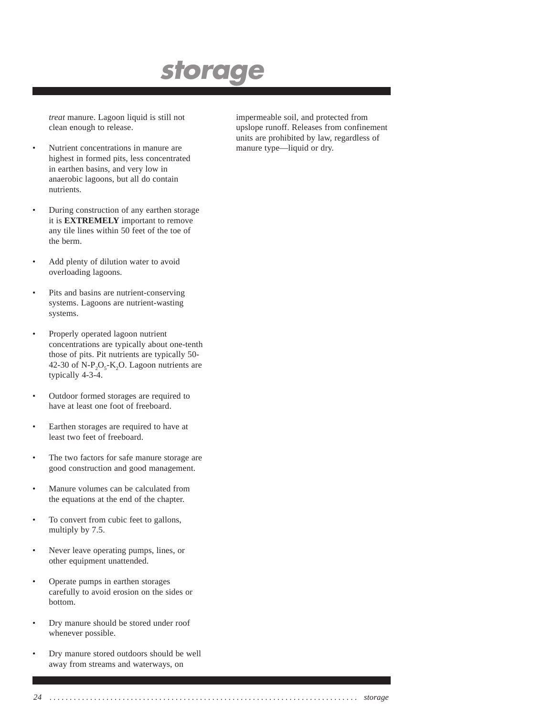*treat* manure. Lagoon liquid is still not clean enough to release.

- Nutrient concentrations in manure are highest in formed pits, less concentrated in earthen basins, and very low in anaerobic lagoons, but all do contain nutrients.
- During construction of any earthen storage it is **EXTREMELY** important to remove any tile lines within 50 feet of the toe of the berm.
- Add plenty of dilution water to avoid overloading lagoons.
- Pits and basins are nutrient-conserving systems. Lagoons are nutrient-wasting systems.
- Properly operated lagoon nutrient concentrations are typically about one-tenth those of pits. Pit nutrients are typically 50- 42-30 of  $N-P_2O_5-K_2O$ . Lagoon nutrients are typically 4-3-4.
- Outdoor formed storages are required to have at least one foot of freeboard.
- Earthen storages are required to have at least two feet of freeboard.
- The two factors for safe manure storage are good construction and good management.
- Manure volumes can be calculated from the equations at the end of the chapter.
- To convert from cubic feet to gallons, multiply by 7.5.
- Never leave operating pumps, lines, or other equipment unattended.
- Operate pumps in earthen storages carefully to avoid erosion on the sides or bottom.
- Dry manure should be stored under roof whenever possible.
- Dry manure stored outdoors should be well away from streams and waterways, on

impermeable soil, and protected from upslope runoff. Releases from confinement units are prohibited by law, regardless of manure type—liquid or dry.

*24 . . . . . . . . . . . . . . . . . . . . . . . . . . . . . . . . . . . . . . . . . . . . . . . . . . . . . . . . . . . . . . . . . . . . . . . . . . . . storage*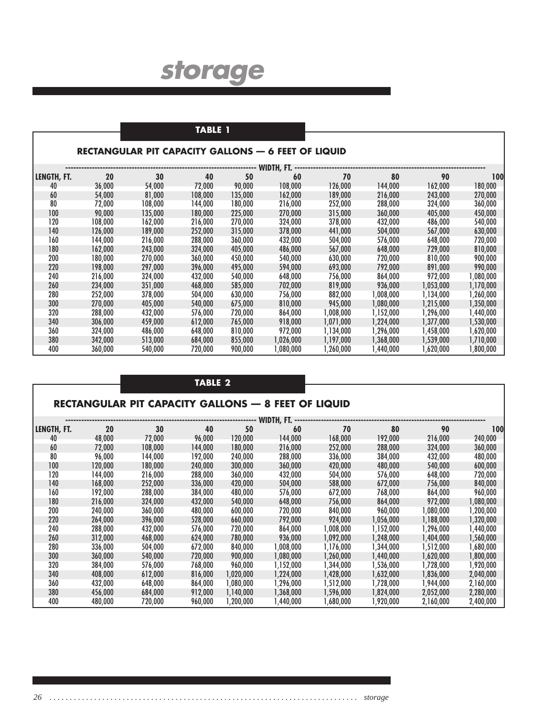### **TABLE 1**

#### **RECTANGULAR PIT CAPACITY GALLONS — 6 FEET OF LIQUID**

|             | WIDTH, FT. |         |         |         |           |            |           |           |           |  |  |  |  |  |
|-------------|------------|---------|---------|---------|-----------|------------|-----------|-----------|-----------|--|--|--|--|--|
| LENGTH, FT. | 20         | 30      | 40      | 50      | 60        | 70         | 80        | 90        | 100       |  |  |  |  |  |
| 40          | 36,000     | 54,000  | 72,000  | 90,000  | 108.000   | 126,000    | 144.000   | 162,000   | 180,000   |  |  |  |  |  |
| 60          | 54,000     | 81,000  | 108,000 | 135,000 | 162,000   | 189,000    | 216,000   | 243,000   | 270,000   |  |  |  |  |  |
| 80          | 72,000     | 108,000 | 144,000 | 180,000 | 216,000   | 252,000    | 288,000   | 324,000   | 360,000   |  |  |  |  |  |
| 100         | 90,000     | 135,000 | 180,000 | 225,000 | 270,000   | 315,000    | 360,000   | 405,000   | 450,000   |  |  |  |  |  |
| 120         | 108,000    | 162,000 | 216,000 | 270,000 | 324,000   | 378,000    | 432,000   | 486,000   | 540,000   |  |  |  |  |  |
| 140         | 126,000    | 189,000 | 252,000 | 315,000 | 378,000   | 441,000    | 504,000   | 567,000   | 630,000   |  |  |  |  |  |
| 160         | 144,000    | 216.000 | 288.000 | 360,000 | 432,000   | 504,000    | 576,000   | 648,000   | 720,000   |  |  |  |  |  |
| 180         | 162,000    | 243,000 | 324,000 | 405,000 | 486,000   | 567,000    | 648,000   | 729,000   | 810,000   |  |  |  |  |  |
| 200         | 180,000    | 270,000 | 360,000 | 450,000 | 540,000   | 630,000    | 720,000   | 810,000   | 900,000   |  |  |  |  |  |
| 220         | 198,000    | 297,000 | 396,000 | 495,000 | 594,000   | 693,000    | 792,000   | 891,000   | 990,000   |  |  |  |  |  |
| 240         | 216,000    | 324,000 | 432,000 | 540,000 | 648,000   | 756,000    | 864,000   | 972,000   | 1,080,000 |  |  |  |  |  |
| 260         | 234,000    | 351,000 | 468,000 | 585,000 | 702,000   | 819,000    | 936,000   | 1,053,000 | 1,170,000 |  |  |  |  |  |
| 280         | 252,000    | 378,000 | 504,000 | 630,000 | 756,000   | 882,000    | ,008,000  | 1,134,000 | 1,260,000 |  |  |  |  |  |
| 300         | 270,000    | 405,000 | 540,000 | 675,000 | 810,000   | 945,000    | 1,080,000 | 1,215,000 | 1,350,000 |  |  |  |  |  |
| 320         | 288,000    | 432,000 | 576,000 | 720,000 | 864,000   | 008,000, ا | 1,152,000 | 1,296,000 | ,440,000  |  |  |  |  |  |
| 340         | 306,000    | 459.000 | 612,000 | 765,000 | 918,000   | 1,071,000  | 1,224,000 | 1,377,000 | 1,530,000 |  |  |  |  |  |
| 360         | 324,000    | 486,000 | 648,000 | 810,000 | 972,000   | 1,134,000  | 1,296,000 | 1,458,000 | 1,620,000 |  |  |  |  |  |
| 380         | 342,000    | 513,000 | 684,000 | 855,000 | 1,026,000 | 1,197,000  | 1,368,000 | 1,539,000 | 1,710,000 |  |  |  |  |  |
| 400         | 360,000    | 540,000 | 720,000 | 900,000 | 1,080,000 | 1,260,000  | 1,440,000 | 1,620,000 | ,800,000  |  |  |  |  |  |

|             |         |                                                            | <b>TABLE 2</b> |           |            |           |           |           |           |
|-------------|---------|------------------------------------------------------------|----------------|-----------|------------|-----------|-----------|-----------|-----------|
|             |         | <b>RECTANGULAR PIT CAPACITY GALLONS - 8 FEET OF LIQUID</b> |                |           |            |           |           |           |           |
|             |         |                                                            |                |           | WIDTH, FT. |           |           |           |           |
| LENGTH, FT. | 20      | 30                                                         | 40             | 50        | 60         | 70        | 80        | 90        | 100       |
| 40          | 48,000  | 72.000                                                     | 96,000         | 120,000   | 144,000    | 168,000   | 192,000   | 216,000   | 240,000   |
| 60          | 72,000  | 108,000                                                    | 144,000        | 180,000   | 216,000    | 252,000   | 288,000   | 324,000   | 360,000   |
| 80          | 96,000  | 144,000                                                    | 192,000        | 240,000   | 288,000    | 336,000   | 384,000   | 432,000   | 480,000   |
| 100         | 120,000 | 180,000                                                    | 240,000        | 300,000   | 360,000    | 420,000   | 480,000   | 540,000   | 600,000   |
| 120         | 144.000 | 216,000                                                    | 288,000        | 360,000   | 432.000    | 504,000   | 576,000   | 648.000   | 720,000   |
| 140         | 168,000 | 252,000                                                    | 336,000        | 420,000   | 504,000    | 588,000   | 672,000   | 756,000   | 840,000   |
| 160         | 192.000 | 288,000                                                    | 384.000        | 480,000   | 576,000    | 672,000   | 768,000   | 864.000   | 960,000   |
| 180         | 216,000 | 324,000                                                    | 432,000        | 540,000   | 648,000    | 756,000   | 864,000   | 972,000   | 1,080,000 |
| 200         | 240,000 | 360,000                                                    | 480,000        | 600,000   | 720,000    | 840,000   | 960,000   | 1,080,000 | 1,200,000 |
| 220         | 264,000 | 396,000                                                    | 528,000        | 660,000   | 792,000    | 924,000   | 1,056,000 | 1,188,000 | 1,320,000 |
| 240         | 288,000 | 432,000                                                    | 576,000        | 720,000   | 864,000    | 1,008,000 | 1,152,000 | 1,296,000 | 1,440,000 |
| 260         | 312,000 | 468,000                                                    | 624,000        | 780,000   | 936,000    | 1,092,000 | 1,248,000 | 1,404,000 | 1,560,000 |
| 280         | 336,000 | 504,000                                                    | 672,000        | 840,000   | 1,008,000  | 1,176,000 | 1,344,000 | 1,512,000 | 1,680,000 |
| 300         | 360,000 | 540,000                                                    | 720,000        | 900,000   | 1,080,000  | 1,260,000 | 1,440,000 | 1,620,000 | 1,800,000 |
| 320         | 384,000 | 576,000                                                    | 768,000        | 960,000   | 1,152,000  | 1,344,000 | 1,536,000 | 1,728,000 | 1,920,000 |
| 340         | 408,000 | 612,000                                                    | 816,000        | 1,020,000 | 1,224,000  | 1,428,000 | 1,632,000 | 1,836,000 | 2,040,000 |
| 360         | 432.000 | 648,000                                                    | 864,000        | 1,080,000 | 1,296,000  | 1,512,000 | 1,728,000 | 1,944,000 | 2,160,000 |
| 380         | 456,000 | 684,000                                                    | 912,000        | 1,140,000 | 1,368,000  | 1,596,000 | 1,824,000 | 2,052,000 | 2,280,000 |
| 400         | 480,000 | 720,000                                                    | 960,000        | 1,200,000 | 1,440,000  | 1,680,000 | 1,920,000 | 2,160,000 | 2,400,000 |

*26 . . . . . . . . . . . . . . . . . . . . . . . . . . . . . . . . . . . . . . . . . . . . . . . . . . . . . . . . . . . . . . . . . . . . . . . . . . . . storage*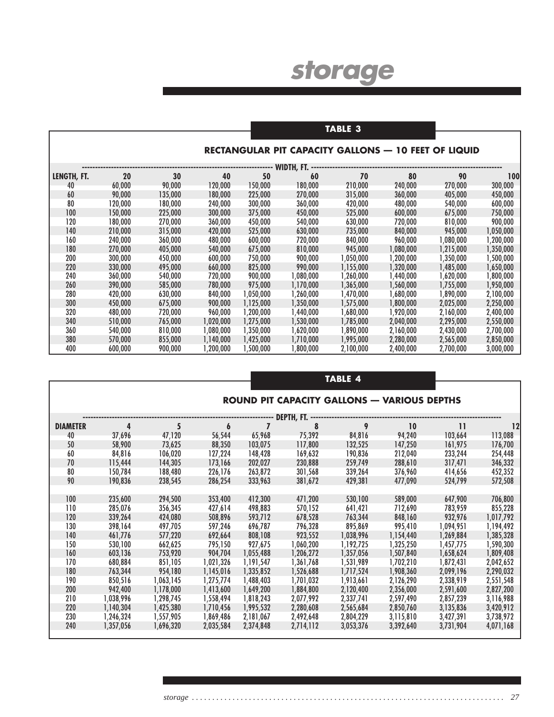|             |         |         |           |           |                               | TABLE 3   |                                                             |           |           |
|-------------|---------|---------|-----------|-----------|-------------------------------|-----------|-------------------------------------------------------------|-----------|-----------|
|             |         |         |           |           |                               |           |                                                             |           |           |
|             |         |         |           |           |                               |           | <b>RECTANGULAR PIT CAPACITY GALLONS - 10 FEET OF LIQUID</b> |           |           |
|             |         |         |           |           | WIDTH, FT. ------------------ |           |                                                             |           |           |
| LENGTH, FT. | 20      | 30      | 40        | 50        | 60                            | 70        | 80                                                          | 90        | 100       |
| 40          | 60,000  | 90,000  | 120,000   | 150,000   | 180,000                       | 210,000   | 240,000                                                     | 270,000   | 300,000   |
| 60          | 90,000  | 135,000 | 180,000   | 225,000   | 270,000                       | 315,000   | 360,000                                                     | 405,000   | 450,000   |
| 80          | 120,000 | 180,000 | 240,000   | 300,000   | 360,000                       | 420,000   | 480,000                                                     | 540,000   | 600,000   |
| 100         | 150,000 | 225,000 | 300,000   | 375,000   | 450,000                       | 525,000   | 600,000                                                     | 675,000   | 750,000   |
| 120         | 180,000 | 270,000 | 360,000   | 450,000   | 540,000                       | 630,000   | 720,000                                                     | 810,000   | 900,000   |
| 140         | 210,000 | 315,000 | 420,000   | 525,000   | 630,000                       | 735,000   | 840,000                                                     | 945,000   | 1,050,000 |
| 160         | 240,000 | 360,000 | 480,000   | 600,000   | 720,000                       | 840,000   | 960,000                                                     | 1,080,000 | 1,200,000 |
| 180         | 270,000 | 405,000 | 540,000   | 675,000   | 810,000                       | 945,000   | 1,080,000                                                   | 1,215,000 | 1,350,000 |
| 200         | 300,000 | 450,000 | 600,000   | 750,000   | 900,000                       | 1,050,000 | 1,200,000                                                   | 1,350,000 | 1,500,000 |
| 220         | 330,000 | 495,000 | 660,000   | 825,000   | 990,000                       | 1,155,000 | 1,320,000                                                   | 1,485,000 | 1,650,000 |
| 240         | 360,000 | 540,000 | 720,000   | 900,000   | 1,080,000                     | 1,260,000 | 1,440,000                                                   | 1,620,000 | ,800,000  |
| 260         | 390,000 | 585,000 | 780,000   | 975,000   | 1,170,000                     | 1,365,000 | 1,560,000                                                   | 1,755,000 | 1,950,000 |
| 280         | 420,000 | 630,000 | 840,000   | 1,050,000 | 1,260,000                     | 1,470,000 | 1,680,000                                                   | 1,890,000 | 2,100,000 |
| 300         | 450,000 | 675,000 | 900,000   | 1,125,000 | 1,350,000                     | 1,575,000 | 1,800,000                                                   | 2,025,000 | 2,250,000 |
| 320         | 480,000 | 720,000 | 960,000   | 1,200,000 | 1,440,000                     | ,680,000  | 1,920,000                                                   | 2,160,000 | 2,400,000 |
| 340         | 510,000 | 765,000 | 1,020,000 | 1,275,000 | 1,530,000                     | 1,785,000 | 2,040,000                                                   | 2,295,000 | 2,550,000 |
| 360         | 540,000 | 810,000 | 1,080,000 | 1,350,000 | 1,620,000                     | ,890,000  | 2,160,000                                                   | 2,430,000 | 2,700,000 |
| 380         | 570,000 | 855,000 | 1,140,000 | 1,425,000 | 1,710,000                     | 1,995,000 | 2,280,000                                                   | 2,565,000 | 2,850,000 |
| 400         | 600,000 | 900,000 | 1,200,000 | 1,500,000 | 1,800,000                     | 2,100,000 | 2,400,000                                                   | 2,700,000 | 3,000,000 |

|                 |           |           |           |           |            | TABLE 4   |                                                    |              |           |
|-----------------|-----------|-----------|-----------|-----------|------------|-----------|----------------------------------------------------|--------------|-----------|
|                 |           |           |           |           |            |           |                                                    |              |           |
|                 |           |           |           |           |            |           | <b>ROUND PIT CAPACITY GALLONS - VARIOUS DEPTHS</b> |              |           |
|                 |           |           |           |           |            |           |                                                    |              |           |
|                 |           |           |           |           | DEPTH, FT. |           |                                                    |              |           |
| <b>DIAMETER</b> | 4         | 5         | 6         |           | 8          | 9         | 10                                                 | $\mathbf{1}$ | 12        |
| 40              | 37,696    | 47,120    | 56,544    | 65,968    | 75,392     | 84,816    | 94,240                                             | 103,664      | 113,088   |
| 50              | 58,900    | 73,625    | 88,350    | 103,075   | 117,800    | 132,525   | 147,250                                            | 161,975      | 176,700   |
| 60              | 84,816    | 106,020   | 127,224   | 148,428   | 169,632    | 190,836   | 212,040                                            | 233,244      | 254,448   |
| 70              | 115,444   | 144,305   | 173,166   | 202,027   | 230,888    | 259,749   | 288,610                                            | 317,471      | 346,332   |
| 80              | 150,784   | 188,480   | 226,176   | 263,872   | 301,568    | 339,264   | 376,960                                            | 414,656      | 452,352   |
| 90              | 190,836   | 238,545   | 286,254   | 333,963   | 381,672    | 429,381   | 477,090                                            | 524,799      | 572,508   |
|                 |           |           |           |           |            |           |                                                    |              |           |
| 100             | 235,600   | 294,500   | 353,400   | 412,300   | 471,200    | 530,100   | 589,000                                            | 647,900      | 706,800   |
| 110             | 285,076   | 356,345   | 427,614   | 498,883   | 570,152    | 641,421   | 712,690                                            | 783,959      | 855,228   |
| 120             | 339,264   | 424,080   | 508,896   | 593,712   | 678,528    | 763,344   | 848,160                                            | 932,976      | 1,017,792 |
| 130             | 398,164   | 497,705   | 597,246   | 696,787   | 796,328    | 895,869   | 995,410                                            | 1,094,951    | 1,194,492 |
| 140             | 461,776   | 577,220   | 692,664   | 808,108   | 923,552    | 1,038,996 | 1,154,440                                          | 1,269,884    | 1,385,328 |
| 150             | 530,100   | 662,625   | 795,150   | 927,675   | 1,060,200  | 1,192,725 | 1,325,250                                          | 1,457,775    | 1,590,300 |
| 160             | 603,136   | 753,920   | 904,704   | 1,055,488 | 1,206,272  | 1,357,056 | 1,507,840                                          | 1,658,624    | 1,809,408 |
| 170             | 680,884   | 851,105   | 1,021,326 | 1,191,547 | 1,361,768  | 1,531,989 | 1,702,210                                          | 1,872,431    | 2,042,652 |
| 180             | 763,344   | 954,180   | 1,145,016 | 1,335,852 | 1,526,688  | 1,717,524 | 1,908,360                                          | 2,099,196    | 2,290,032 |
| 190             | 850,516   | 1,063,145 | 1,275,774 | 1,488,403 | 1,701,032  | 1,913,661 | 2,126,290                                          | 2,338,919    | 2,551,548 |
| 200             | 942,400   | 1,178,000 | 1,413,600 | 1,649,200 | 1,884,800  | 2,120,400 | 2,356,000                                          | 2,591,600    | 2,827,200 |
| 210             | 1,038,996 | 1,298,745 | 1,558,494 | 1,818,243 | 2,077,992  | 2,337,741 | 2,597,490                                          | 2,857,239    | 3,116,988 |
| 220             | 1,140,304 | 1,425,380 | 1,710,456 | 1,995,532 | 2,280,608  | 2,565,684 | 2,850,760                                          | 3,135,836    | 3,420,912 |
| 230             | 1,246,324 | 1,557,905 | 1,869,486 | 2,181,067 | 2,492,648  | 2,804,229 | 3,115,810                                          | 3,427,391    | 3,738,972 |
| 240             | 1,357,056 | 1,696,320 | 2,035,584 | 2,374,848 | 2,714,112  | 3,053,376 | 3,392,640                                          | 3,731,904    | 4,071,168 |
|                 |           |           |           |           |            |           |                                                    |              |           |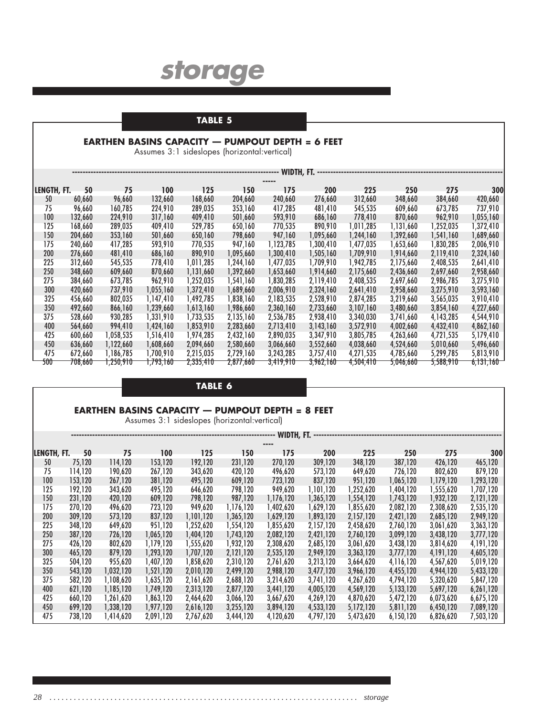### **TABLE 5**

#### **EARTHEN BASINS CAPACITY — PUMPOUT DEPTH = 6 FEET**

Assumes 3:1 sideslopes (horizontal:vertical)

|             | WIDTH, FT.<br>--------------------------- |           |           |           |           |                        |            |           |           |           |           |  |  |  |
|-------------|-------------------------------------------|-----------|-----------|-----------|-----------|------------------------|------------|-----------|-----------|-----------|-----------|--|--|--|
|             |                                           |           |           |           |           |                        |            |           |           |           |           |  |  |  |
| LENGTH, FT. | 50                                        | 75        | 100       | 125       | 150       | 175                    | <b>200</b> | 225       | 250       | 275       | 300       |  |  |  |
| 50          | 60,660                                    | 96,660    | 132,660   | 168,660   | 204,660   | 240,660                | 276,660    | 312,660   | 348,660   | 384,660   | 420,660   |  |  |  |
| 75          | 96,660                                    | 160,785   | 224,910   | 289,035   | 353,160   | 417,285                | 481,410    | 545,535   | 609,660   | 673,785   | 737,910   |  |  |  |
| 100         | 132,660                                   | 224,910   | 317,160   | 409,410   | 501,660   | 593,910                | 686,160    | 778,410   | 870,660   | 962,910   | 1,055,160 |  |  |  |
| 125         | 168.660                                   | 289,035   | 409,410   | 529.785   | 650,160   | 770,535                | 890.910    | 1,011,285 | 1,131,660 | 1,252,035 | 1,372,410 |  |  |  |
| 150         | 204,660                                   | 353,160   | 501,660   | 650,160   | 798,660   | 947,160                | 1,095,660  | 1,244,160 | 1,392,660 | ,541,160  | 1,689,660 |  |  |  |
| 175         | 240,660                                   | 417,285   | 593,910   | 770,535   | 947,160   | 1,123,785              | 1,300,410  | 1,477,035 | 1,653,660 | ,830,285  | 2,006,910 |  |  |  |
| 200         | 276.660                                   | 481.410   | 686,160   | 890.910   | 1,095,660 | 1,300,410              | 1,505,160  | 1,709,910 | 1.914.660 | 2,119,410 | 2,324,160 |  |  |  |
| 225         | 312,660                                   | 545,535   | 778,410   | 1,011,285 | 1,244,160 | 1,477,035              | 1,709,910  | 1,942,785 | 2,175,660 | 2,408,535 | 2,641,410 |  |  |  |
| 250         | 348,660                                   | 609,660   | 870,660   | 1,131,660 | 1,392,660 | 1,653,660              | 1,914,660  | 2,175,660 | 2,436,660 | 2,697,660 | 2,958,660 |  |  |  |
| 275         | 384.660                                   | 673,785   | 962,910   | 1,252,035 | 1,541,160 | 1,830,285              | 2,119,410  | 2,408,535 | 2,697,660 | 2,986,785 | 3,275,910 |  |  |  |
| 300         | 420.660                                   | 737,910   | 1,055,160 | 1,372,410 | 1,689,660 | 2,006,910              | 2,324,160  | 2,641,410 | 2,958,660 | 3,275,910 | 3,593,160 |  |  |  |
| 325         | 456,660                                   | 802,035   | 1,147,410 | 1,492,785 | 1,838,160 | 2,183,535              | 2,528,910  | 2,874,285 | 3,219,660 | 3,565,035 | 3,910,410 |  |  |  |
| 350         | 492.660                                   | 866,160   | 1,239,660 | 1,613,160 | 1,986,660 | 2,360,160              | 2,733,660  | 3,107,160 | 3,480,660 | 3,854,160 | 4,227,660 |  |  |  |
| 375         | 528,660                                   | 930,285   | 1,331,910 | 1,733,535 | 2,135,160 | 2,536,785              | 2,938,410  | 3,340,030 | 3,741,660 | 4,143,285 | 4,544,910 |  |  |  |
| 400         | 564,660                                   | 994,410   | 1,424,160 | 1,853,910 | 2,283,660 | 2,713,410              | 3,143,160  | 3,572,910 | 4,002,660 | 4,432,410 | 4,862,160 |  |  |  |
| 425         | 600,660                                   | 1,058,535 | 1,516,410 | 1,974,285 | 2,432,160 | 2,890,035              | 3,347,910  | 3,805,785 | 4,263,660 | 4,721,535 | 5,179,410 |  |  |  |
| 450         | 636,660                                   | 1,122,660 | 1,608,660 | 2,094,660 | 2,580,660 | 3,066,660              | 3,552,660  | 4,038,660 | 4,524,660 | 5,010,660 | 5,496,660 |  |  |  |
| 475         | 672,660                                   | 1.186.785 | 1,700,910 | 2,215,035 | 2,729,160 | 3,243,285              | 3,757,410  | 4,271,535 | 4,785,660 | 5,299,785 | 5,813,910 |  |  |  |
| 500         | 708,660                                   | 1,250,910 | 1,793,160 | 2,335,410 | 2,877,660 | 3,419,910 <sup>-</sup> | 3,962,160  | 4,504,410 | 5,046,660 | 5,588,910 | 6,131,160 |  |  |  |

#### **TABLE 6**

#### **EARTHEN BASINS CAPACITY — PUMPOUT DEPTH = 8 FEET**

Assumes 3:1 sideslopes (horizontal:vertical)

|             |         |           |           |           |           | WIDTH, FT. |           |           |           |           |           |
|-------------|---------|-----------|-----------|-----------|-----------|------------|-----------|-----------|-----------|-----------|-----------|
|             |         |           |           |           |           | ----       |           |           |           |           |           |
| LENGTH, FT. | 50      | 75        | 100       | 125       | 150       | 175        | 200       | 225       | 250       | 275       | 300       |
| 50          | 75,120  | 114,120   | 153,120   | 192,120   | 231,120   | 270,120    | 309,120   | 348,120   | 387,120   | 426,120   | 465,120   |
| 75          | 114,120 | 190,620   | 267,120   | 343,620   | 420,120   | 496,620    | 573,120   | 649,620   | 726,120   | 802,620   | 879,120   |
| 100         | 153,120 | 267,120   | 381,120   | 495,120   | 609,120   | 723,120    | 837,120   | 951,120   | 1,065,120 | 1,179,120 | 1,293,120 |
| 125         | 192,120 | 343,620   | 495,120   | 646,620   | 798,120   | 949,620    | 1,101,120 | 1,252,620 | 1,404,120 | 1,555,620 | 1,707,120 |
| 150         | 231,120 | 420,120   | 609,120   | 798,120   | 987,120   | 1,176,120  | 1,365,120 | 1,554,120 | 1,743,120 | 1,932,120 | 2,121,120 |
| 175         | 270,120 | 496,620   | 723,120   | 949,620   | 1,176,120 | 1,402,620  | 1,629,120 | 1,855,620 | 2,082,120 | 2,308,620 | 2,535,120 |
| 200         | 309,120 | 573,120   | 837,120   | 1,101,120 | 1,365,120 | 1,629,120  | 1,893,120 | 2,157,120 | 2,421,120 | 2,685,120 | 2,949,120 |
| 225         | 348,120 | 649,620   | 951,120   | 1,252,620 | 1,554,120 | 1,855,620  | 2,157,120 | 2,458,620 | 2,760,120 | 3,061,620 | 3,363,120 |
| 250         | 387.120 | 726,120   | 1,065,120 | 1,404,120 | 1,743,120 | 2,082,120  | 2,421,120 | 2,760,120 | 3,099,120 | 3,438,120 | 3,777,120 |
| 275         | 426,120 | 802,620   | 1,179,120 | 1,555,620 | 1,932,120 | 2,308,620  | 2,685,120 | 3,061,620 | 3,438,120 | 3,814,620 | 4,191,120 |
| 300         | 465,120 | 879,120   | 1,293,120 | 1,707,120 | 2,121,120 | 2,535,120  | 2,949,120 | 3,363,120 | 3,777,120 | 4,191,120 | 4,605,120 |
| 325         | 504.120 | 955,620   | 1,407,120 | 1,858,620 | 2.310.120 | 2,761,620  | 3,213,120 | 3,664,620 | 4,116,120 | 4,567,620 | 5,019,120 |
| 350         | 543,120 | 1,032,120 | 1,521,120 | 2,010,120 | 2,499,120 | 2,988,120  | 3,477,120 | 3,966,120 | 4,455,120 | 4,944,120 | 5,433,120 |
| 375         | 582.120 | 1,108,620 | 1,635,120 | 2,161,620 | 2,688,120 | 3,214,620  | 3,741,120 | 4,267,620 | 4,794,120 | 5,320,620 | 5,847,120 |
| 400         | 621,120 | 1,185,120 | 1,749,120 | 2,313,120 | 2,877,120 | 3,441,120  | 4,005,120 | 4,569,120 | 5,133,120 | 5,697,120 | 6,261,120 |
| 425         | 660,120 | 1,261,620 | 1,863,120 | 2,464,620 | 3,066,120 | 3,667,620  | 4,269,120 | 4,870,620 | 5,472,120 | 6,073,620 | 6,675,120 |
| 450         | 699,120 | 1,338,120 | 1,977,120 | 2,616,120 | 3,255,120 | 3,894,120  | 4,533,120 | 5,172,120 | 5,811,120 | 6,450,120 | 7,089,120 |
| 475         | 738,120 | 1,414,620 | 2,091,120 | 2,767,620 | 3,444,120 | 4,120,620  | 4,797,120 | 5,473,620 | 6,150,120 | 6,826,620 | 7,503,120 |